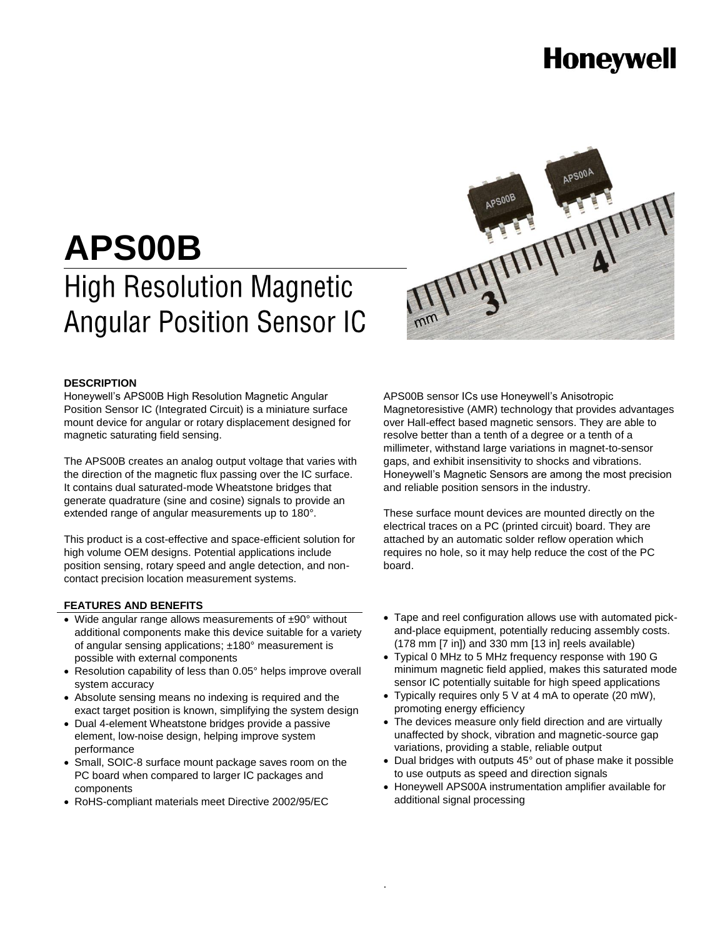# **Honeywell**

# **APS00B High Resolution Magnetic Angular Position Sensor IC**



#### **DESCRIPTION**

Honeywell's APS00B High Resolution Magnetic Angular Position Sensor IC (Integrated Circuit) is a miniature surface mount device for angular or rotary displacement designed for magnetic saturating field sensing.

The APS00B creates an analog output voltage that varies with the direction of the magnetic flux passing over the IC surface. It contains dual saturated-mode Wheatstone bridges that generate quadrature (sine and cosine) signals to provide an extended range of angular measurements up to 180°.

This product is a cost-effective and space-efficient solution for high volume OEM designs. Potential applications include position sensing, rotary speed and angle detection, and noncontact precision location measurement systems.

#### **FEATURES AND BENEFITS**

- Wide angular range allows measurements of ±90° without additional components make this device suitable for a variety of angular sensing applications; ±180° measurement is possible with external components
- Resolution capability of less than 0.05° helps improve overall system accuracy
- Absolute sensing means no indexing is required and the exact target position is known, simplifying the system design
- Dual 4-element Wheatstone bridges provide a passive element, low-noise design, helping improve system performance
- Small, SOIC-8 surface mount package saves room on the PC board when compared to larger IC packages and components
- RoHS-compliant materials meet Directive 2002/95/EC

APS00B sensor ICs use Honeywell's Anisotropic Magnetoresistive (AMR) technology that provides advantages over Hall-effect based magnetic sensors. They are able to resolve better than a tenth of a degree or a tenth of a millimeter, withstand large variations in magnet-to-sensor gaps, and exhibit insensitivity to shocks and vibrations. Honeywell's Magnetic Sensors are among the most precision and reliable position sensors in the industry.

These surface mount devices are mounted directly on the electrical traces on a PC (printed circuit) board. They are attached by an automatic solder reflow operation which requires no hole, so it may help reduce the cost of the PC board.

- Tape and reel configuration allows use with automated pickand-place equipment, potentially reducing assembly costs. (178 mm [7 in]) and 330 mm [13 in] reels available)
- Typical 0 MHz to 5 MHz frequency response with 190 G minimum magnetic field applied, makes this saturated mode sensor IC potentially suitable for high speed applications
- Typically requires only 5 V at 4 mA to operate (20 mW), promoting energy efficiency
- The devices measure only field direction and are virtually unaffected by shock, vibration and magnetic-source gap variations, providing a stable, reliable output
- Dual bridges with outputs 45° out of phase make it possible to use outputs as speed and direction signals
- Honeywell APS00A instrumentation amplifier available for additional signal processing

.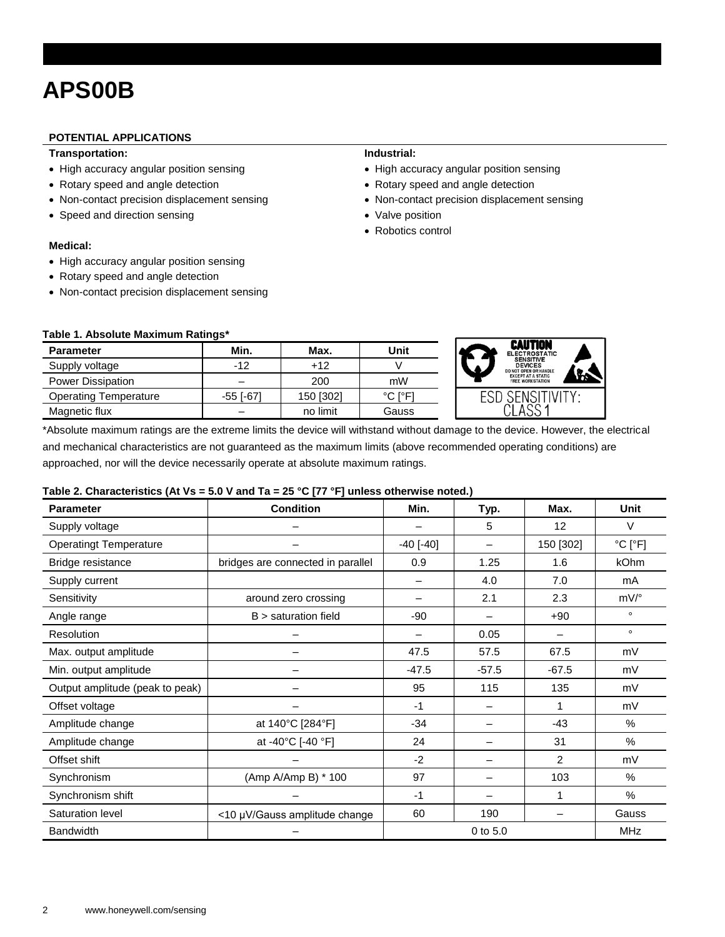### **APS00B**

#### **POTENTIAL APPLICATIONS**

#### **Transportation:**

- High accuracy angular position sensing
- Rotary speed and angle detection
- Non-contact precision displacement sensing
- Speed and direction sensing

#### **Medical:**

- High accuracy angular position sensing
- Rotary speed and angle detection
- Non-contact precision displacement sensing

#### **Industrial:**

- High accuracy angular position sensing
- Rotary speed and angle detection
- Non-contact precision displacement sensing

**CAUTION** SENSI<br>DEVIC EXCEPT AT A STATIC **ESD SENSITIVITY** CLASS<sub>1</sub>

- Valve position
- Robotics control

| Table 1. Absolute Maximum Ratings* |  |
|------------------------------------|--|
|------------------------------------|--|

| <b>Parameter</b>             | Min.            | Max.      | Unit    |
|------------------------------|-----------------|-----------|---------|
| Supply voltage               | $-12$           | $+12$     |         |
| <b>Power Dissipation</b>     |                 | 200       | mW      |
| <b>Operating Temperature</b> | $-55$ [ $-67$ ] | 150 [302] | °C I°F1 |
| Magnetic flux                |                 | no limit  | Gauss   |

\*Absolute maximum ratings are the extreme limits the device will withstand without damage to the device. However, the electrical and mechanical characteristics are not guaranteed as the maximum limits (above recommended operating conditions) are approached, nor will the device necessarily operate at absolute maximum ratings.

#### **Table 2. Characteristics (At Vs = 5.0 V and Ta = 25 °C [77 °F] unless otherwise noted.)**

| <b>Parameter</b>                | <b>Condition</b>                  | Min.                   | Typ.                     | Max.           | Unit                         |
|---------------------------------|-----------------------------------|------------------------|--------------------------|----------------|------------------------------|
| Supply voltage                  |                                   |                        | 5                        | 12             | V                            |
| <b>Operatingt Temperature</b>   |                                   | $-40$ [ $-40$ ]        | $\overline{\phantom{0}}$ | 150 [302]      | $^{\circ}$ C [ $^{\circ}$ F] |
| Bridge resistance               | bridges are connected in parallel | 0.9                    | 1.25                     | 1.6            | kOhm                         |
| Supply current                  |                                   |                        | 4.0                      | 7.0            | mA                           |
| Sensitivity                     | around zero crossing              |                        | 2.1                      | 2.3            | $mV$ /°                      |
| Angle range                     | $B >$ saturation field            | -90                    |                          | $+90$          | $\circ$                      |
| Resolution                      |                                   |                        | 0.05                     |                | $\circ$                      |
| Max. output amplitude           |                                   | 47.5                   | 57.5                     | 67.5           | mV                           |
| Min. output amplitude           |                                   |                        | $-57.5$                  | $-67.5$        | mV                           |
| Output amplitude (peak to peak) |                                   | 95                     | 115                      | 135            | mV                           |
| Offset voltage                  |                                   | $-1$                   |                          |                | mV                           |
| Amplitude change                | at 140°C [284°F]                  | $-34$                  |                          | $-43$          | $\%$                         |
| Amplitude change                | at -40°C [-40 °F]                 | 24                     |                          | 31             | $\frac{0}{0}$                |
| Offset shift                    |                                   | $-2$                   |                          | $\overline{2}$ | mV                           |
| Synchronism                     | (Amp A/Amp B) * 100               | 97                     |                          | 103            | $\frac{0}{0}$                |
| Synchronism shift               |                                   | $-1$                   |                          | 1              | %                            |
| Saturation level                | <10 µV/Gauss amplitude change     | 60                     | 190                      |                | Gauss                        |
| <b>Bandwidth</b>                |                                   | 0 to 5.0<br><b>MHz</b> |                          |                |                              |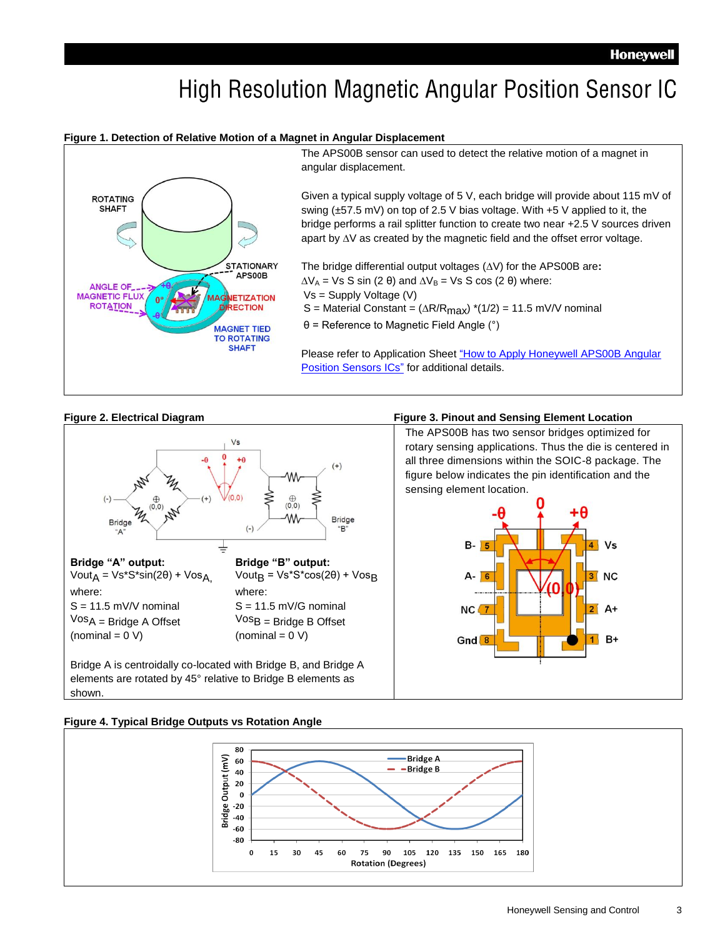## High Resolution Magnetic Angular Position Sensor IC

#### **Figure 1. Detection of Relative Motion of a Magnet in Angular Displacement**



The APS00B sensor can used to detect the relative motion of a magnet in angular displacement.

Given a typical supply voltage of 5 V, each bridge will provide about 115 mV of swing (±57.5 mV) on top of 2.5 V bias voltage. With +5 V applied to it, the bridge performs a rail splitter function to create two near +2.5 V sources driven apart by  $\Delta V$  as created by the magnetic field and the offset error voltage.

The bridge differential output voltages ( $\Delta V$ ) for the APS00B are:  $\Delta V_A$  = Vs S sin (2 θ) and  $\Delta V_B$  = Vs S cos (2 θ) where: Vs = Supply Voltage (V) S = Material Constant =  $(\Delta R/R_{max})$  \*(1/2) = 11.5 mV/V nominal

θ = Reference to Magnetic Field Angle (°)

Please refer to Application Sheet "How to Apply Honeywell APS00B Angular [Position Sensors](http://sensing.honeywell.com/index.php?ci_id=49648) ICs" for additional details.



#### **Figure 2. Electrical Diagram Figure 3. Pinout and Sensing Element Location**

The APS00B has two sensor bridges optimized for rotary sensing applications. Thus the die is centered in all three dimensions within the SOIC-8 package. The figure below indicates the pin identification and the sensing element location.



#### **Figure 4. Typical Bridge Outputs vs Rotation Angle**

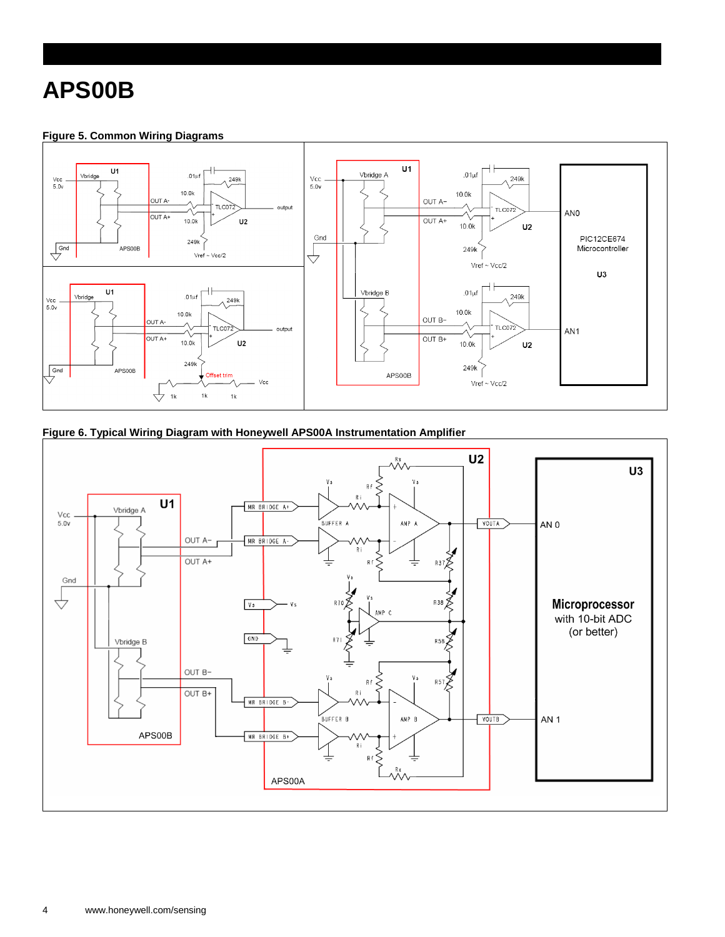### **APS00B**

### **Figure 5. Common Wiring Diagrams**



**Figure 6. Typical Wiring Diagram with Honeywell APS00A Instrumentation Amplifier**

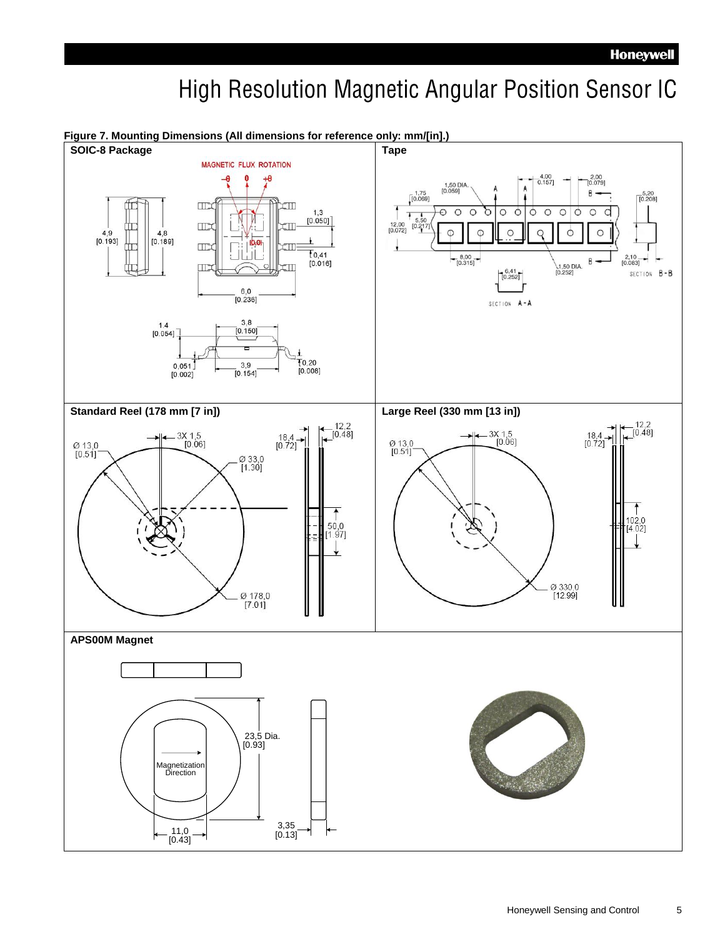## High Resolution Magnetic Angular Position Sensor IC



Honeywell Sensing and Control 5